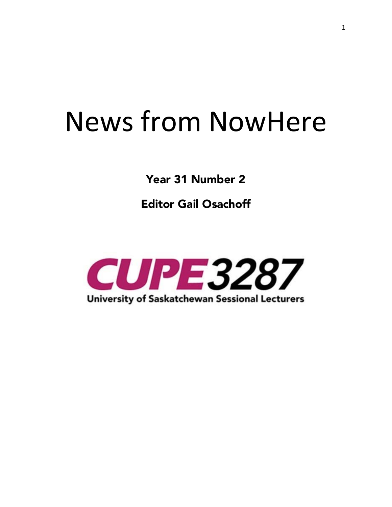# News from NowHere

**Year 31 Number 2** 

**Editor Gail Osachoff**

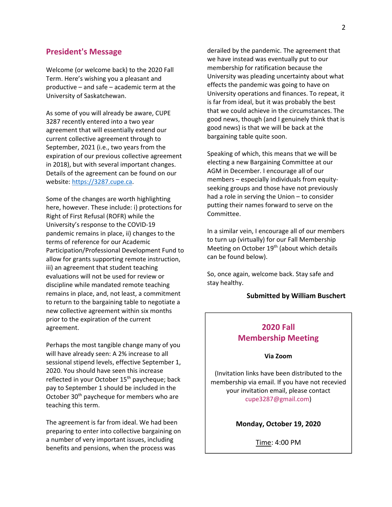## **President's Message**

Welcome (or welcome back) to the 2020 Fall Term. Here's wishing you a pleasant and productive – and safe – academic term at the University of Saskatchewan.

As some of you will already be aware, CUPE 3287 recently entered into a two year agreement that will essentially extend our current collective agreement through to September, 2021 (i.e., two years from the expiration of our previous collective agreement in 2018), but with several important changes. Details of the agreement can be found on our website: https://3287.cupe.ca.

Some of the changes are worth highlighting here, however. These include: i) protections for Right of First Refusal (ROFR) while the University's response to the COVID-19 pandemic remains in place, ii) changes to the terms of reference for our Academic Participation/Professional Development Fund to allow for grants supporting remote instruction, iii) an agreement that student teaching evaluations will not be used for review or discipline while mandated remote teaching remains in place, and, not least, a commitment to return to the bargaining table to negotiate a new collective agreement within six months prior to the expiration of the current agreement.

Perhaps the most tangible change many of you will have already seen: A 2% increase to all sessional stipend levels, effective September 1, 2020. You should have seen this increase reflected in your October 15<sup>th</sup> paycheque; back pay to September 1 should be included in the October 30<sup>th</sup> paycheque for members who are teaching this term.

The agreement is far from ideal. We had been preparing to enter into collective bargaining on a number of very important issues, including benefits and pensions, when the process was

derailed by the pandemic. The agreement that we have instead was eventually put to our membership for ratification because the University was pleading uncertainty about what effects the pandemic was going to have on University operations and finances. To repeat, it is far from ideal, but it was probably the best that we could achieve in the circumstances. The good news, though (and I genuinely think that is good news) is that we will be back at the bargaining table quite soon.

Speaking of which, this means that we will be electing a new Bargaining Committee at our AGM in December. I encourage all of our members – especially individuals from equityseeking groups and those have not previously had a role in serving the Union – to consider putting their names forward to serve on the Committee.

In a similar vein, I encourage all of our members to turn up (virtually) for our Fall Membership Meeting on October 19<sup>th</sup> (about which details can be found below).

So, once again, welcome back. Stay safe and stay healthy.

#### **Submitted by William Buschert**

## **2020 Fall Membership Meeting**

#### **Via Zoom**

(Invitation links have been distributed to the membership via email. If you have not recevied your invitation email, please contact cupe3287@gmail.com)

**Monday, October 19, 2020**

Time: 4:00 PM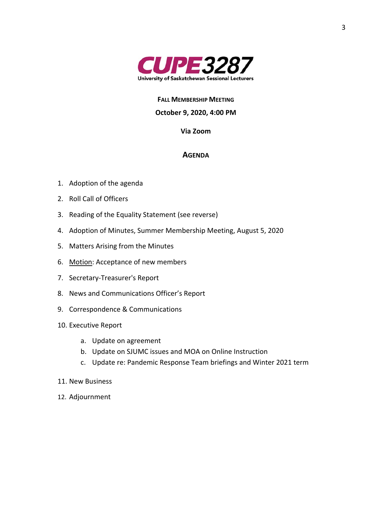

**FALL MEMBERSHIP MEETING**

## **October 9, 2020, 4:00 PM**

## **Via Zoom**

## **AGENDA**

- 1. Adoption of the agenda
- 2. Roll Call of Officers
- 3. Reading of the Equality Statement (see reverse)
- 4. Adoption of Minutes, Summer Membership Meeting, August 5, 2020
- 5. Matters Arising from the Minutes
- 6. Motion: Acceptance of new members
- 7. Secretary-Treasurer's Report
- 8. News and Communications Officer's Report
- 9. Correspondence & Communications
- 10. Executive Report
	- a. Update on agreement
	- b. Update on SJUMC issues and MOA on Online Instruction
	- c. Update re: Pandemic Response Team briefings and Winter 2021 term
- 11. New Business
- 12. Adjournment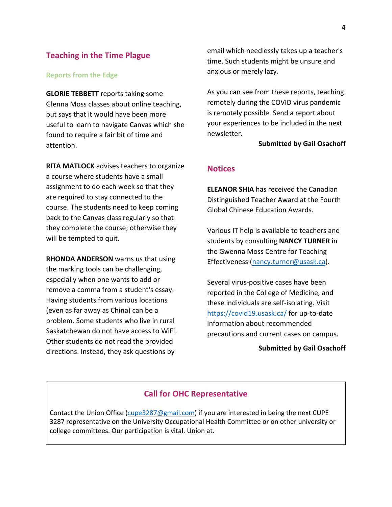## **Teaching in the Time Plague**

#### **Reports from the Edge**

**GLORIE TEBBETT** reports taking some Glenna Moss classes about online teaching, but says that it would have been more useful to learn to navigate Canvas which she found to require a fair bit of time and attention.

**RITA MATLOCK** advises teachers to organize a course where students have a small assignment to do each week so that they are required to stay connected to the course. The students need to keep coming back to the Canvas class regularly so that they complete the course; otherwise they will be tempted to quit.

**RHONDA ANDERSON** warns us that using the marking tools can be challenging, especially when one wants to add or remove a comma from a student's essay. Having students from various locations (even as far away as China) can be a problem. Some students who live in rural Saskatchewan do not have access to WiFi. Other students do not read the provided directions. Instead, they ask questions by

email which needlessly takes up a teacher's time. Such students might be unsure and anxious or merely lazy.

As you can see from these reports, teaching remotely during the COVID virus pandemic is remotely possible. Send a report about your experiences to be included in the next newsletter.

#### **Submitted by Gail Osachoff**

## **Notices**

**ELEANOR SHIA** has received the Canadian Distinguished Teacher Award at the Fourth Global Chinese Education Awards.

Various IT help is available to teachers and students by consulting **NANCY TURNER** in the Gwenna Moss Centre for Teaching Effectiveness (nancy.turner@usask.ca).

Several virus-positive cases have been reported in the College of Medicine, and these individuals are self-isolating. Visit https://covid19.usask.ca/ for up-to-date information about recommended precautions and current cases on campus.

## **Submitted by Gail Osachoff**

## **Call for OHC Representative**

Contact the Union Office (cupe3287@gmail.com) if you are interested in being the next CUPE 3287 representative on the University Occupational Health Committee or on other university or college committees. Our participation is vital. Union at.